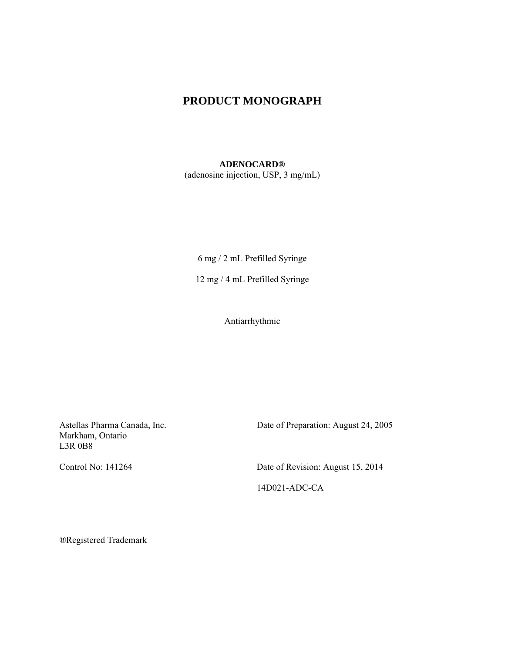# **PRODUCT MONOGRAPH**

#### **ADENOCARD®**

(adenosine injection, USP, 3 mg/mL)

6 mg / 2 mL Prefilled Syringe

12 mg / 4 mL Prefilled Syringe

Antiarrhythmic

Astellas Pharma Canada, Inc. Markham, Ontario L3R 0B8

Date of Preparation: August 24, 2005

Control No: 141264 Date of Revision: August 15, 2014 14D021-ADC-CA

®Registered Trademark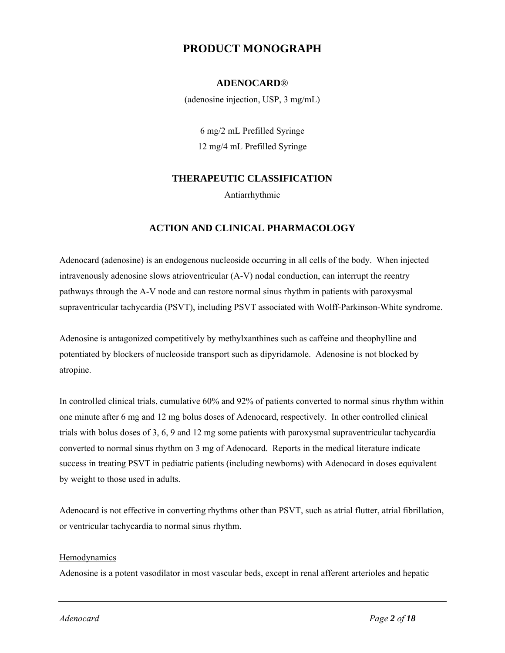# **PRODUCT MONOGRAPH**

## **ADENOCARD**®

(adenosine injection, USP, 3 mg/mL)

6 mg/2 mL Prefilled Syringe 12 mg/4 mL Prefilled Syringe

# **THERAPEUTIC CLASSIFICATION**

Antiarrhythmic

## **ACTION AND CLINICAL PHARMACOLOGY**

Adenocard (adenosine) is an endogenous nucleoside occurring in all cells of the body. When injected intravenously adenosine slows atrioventricular (A-V) nodal conduction, can interrupt the reentry pathways through the A-V node and can restore normal sinus rhythm in patients with paroxysmal supraventricular tachycardia (PSVT), including PSVT associated with Wolff-Parkinson-White syndrome.

Adenosine is antagonized competitively by methylxanthines such as caffeine and theophylline and potentiated by blockers of nucleoside transport such as dipyridamole. Adenosine is not blocked by atropine.

In controlled clinical trials, cumulative 60% and 92% of patients converted to normal sinus rhythm within one minute after 6 mg and 12 mg bolus doses of Adenocard, respectively. In other controlled clinical trials with bolus doses of 3, 6, 9 and 12 mg some patients with paroxysmal supraventricular tachycardia converted to normal sinus rhythm on 3 mg of Adenocard. Reports in the medical literature indicate success in treating PSVT in pediatric patients (including newborns) with Adenocard in doses equivalent by weight to those used in adults.

Adenocard is not effective in converting rhythms other than PSVT, such as atrial flutter, atrial fibrillation, or ventricular tachycardia to normal sinus rhythm.

#### Hemodynamics

Adenosine is a potent vasodilator in most vascular beds, except in renal afferent arterioles and hepatic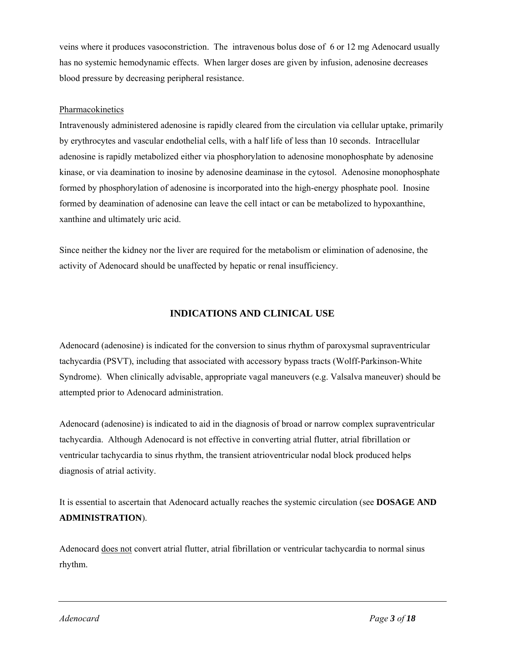veins where it produces vasoconstriction. The intravenous bolus dose of 6 or 12 mg Adenocard usually has no systemic hemodynamic effects. When larger doses are given by infusion, adenosine decreases blood pressure by decreasing peripheral resistance.

### Pharmacokinetics

Intravenously administered adenosine is rapidly cleared from the circulation via cellular uptake, primarily by erythrocytes and vascular endothelial cells, with a half life of less than 10 seconds. Intracellular adenosine is rapidly metabolized either via phosphorylation to adenosine monophosphate by adenosine kinase, or via deamination to inosine by adenosine deaminase in the cytosol. Adenosine monophosphate formed by phosphorylation of adenosine is incorporated into the high-energy phosphate pool. Inosine formed by deamination of adenosine can leave the cell intact or can be metabolized to hypoxanthine, xanthine and ultimately uric acid.

Since neither the kidney nor the liver are required for the metabolism or elimination of adenosine, the activity of Adenocard should be unaffected by hepatic or renal insufficiency.

# **INDICATIONS AND CLINICAL USE**

Adenocard (adenosine) is indicated for the conversion to sinus rhythm of paroxysmal supraventricular tachycardia (PSVT), including that associated with accessory bypass tracts (Wolff-Parkinson-White Syndrome). When clinically advisable, appropriate vagal maneuvers (e.g. Valsalva maneuver) should be attempted prior to Adenocard administration.

Adenocard (adenosine) is indicated to aid in the diagnosis of broad or narrow complex supraventricular tachycardia. Although Adenocard is not effective in converting atrial flutter, atrial fibrillation or ventricular tachycardia to sinus rhythm, the transient atrioventricular nodal block produced helps diagnosis of atrial activity.

It is essential to ascertain that Adenocard actually reaches the systemic circulation (see **DOSAGE AND ADMINISTRATION**).

Adenocard does not convert atrial flutter, atrial fibrillation or ventricular tachycardia to normal sinus rhythm.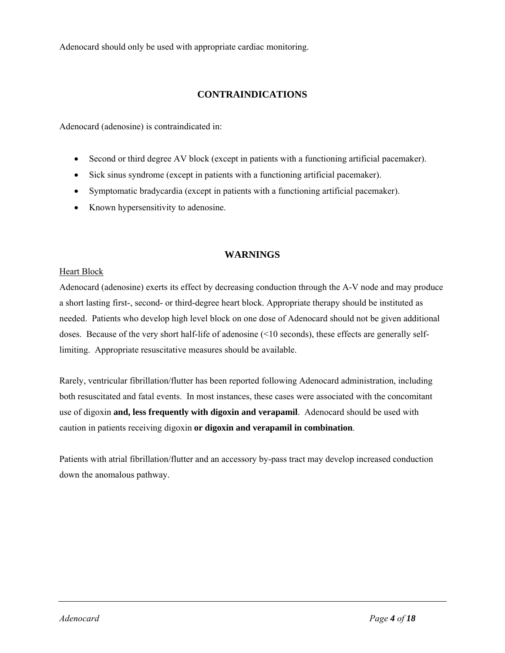Adenocard should only be used with appropriate cardiac monitoring.

# **CONTRAINDICATIONS**

Adenocard (adenosine) is contraindicated in:

- Second or third degree AV block (except in patients with a functioning artificial pacemaker).
- Sick sinus syndrome (except in patients with a functioning artificial pacemaker).
- Symptomatic bradycardia (except in patients with a functioning artificial pacemaker).
- Known hypersensitivity to adenosine.

# **WARNINGS**

### Heart Block

Adenocard (adenosine) exerts its effect by decreasing conduction through the A-V node and may produce a short lasting first-, second- or third-degree heart block. Appropriate therapy should be instituted as needed. Patients who develop high level block on one dose of Adenocard should not be given additional doses. Because of the very short half-life of adenosine (<10 seconds), these effects are generally selflimiting. Appropriate resuscitative measures should be available.

Rarely, ventricular fibrillation/flutter has been reported following Adenocard administration, including both resuscitated and fatal events. In most instances, these cases were associated with the concomitant use of digoxin **and, less frequently with digoxin and verapamil**. Adenocard should be used with caution in patients receiving digoxin **or digoxin and verapamil in combination**.

Patients with atrial fibrillation/flutter and an accessory by-pass tract may develop increased conduction down the anomalous pathway.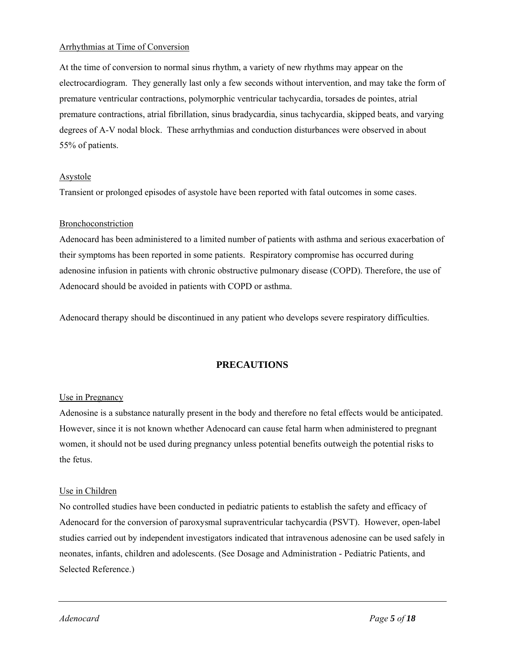### Arrhythmias at Time of Conversion

At the time of conversion to normal sinus rhythm, a variety of new rhythms may appear on the electrocardiogram. They generally last only a few seconds without intervention, and may take the form of premature ventricular contractions, polymorphic ventricular tachycardia, torsades de pointes, atrial premature contractions, atrial fibrillation, sinus bradycardia, sinus tachycardia, skipped beats, and varying degrees of A-V nodal block. These arrhythmias and conduction disturbances were observed in about 55% of patients.

### **Asystole**

Transient or prolonged episodes of asystole have been reported with fatal outcomes in some cases.

### Bronchoconstriction

Adenocard has been administered to a limited number of patients with asthma and serious exacerbation of their symptoms has been reported in some patients. Respiratory compromise has occurred during adenosine infusion in patients with chronic obstructive pulmonary disease (COPD). Therefore, the use of Adenocard should be avoided in patients with COPD or asthma.

Adenocard therapy should be discontinued in any patient who develops severe respiratory difficulties.

# **PRECAUTIONS**

### Use in Pregnancy

Adenosine is a substance naturally present in the body and therefore no fetal effects would be anticipated. However, since it is not known whether Adenocard can cause fetal harm when administered to pregnant women, it should not be used during pregnancy unless potential benefits outweigh the potential risks to the fetus.

#### Use in Children

No controlled studies have been conducted in pediatric patients to establish the safety and efficacy of Adenocard for the conversion of paroxysmal supraventricular tachycardia (PSVT). However, open-label studies carried out by independent investigators indicated that intravenous adenosine can be used safely in neonates, infants, children and adolescents. (See Dosage and Administration - Pediatric Patients, and Selected Reference.)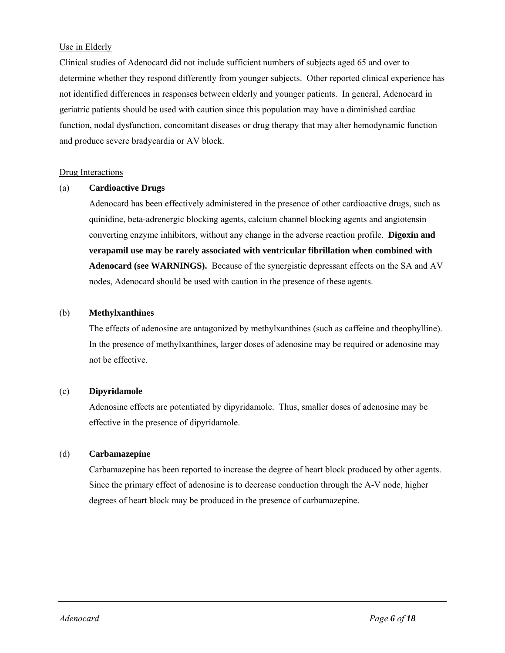### Use in Elderly

Clinical studies of Adenocard did not include sufficient numbers of subjects aged 65 and over to determine whether they respond differently from younger subjects. Other reported clinical experience has not identified differences in responses between elderly and younger patients. In general, Adenocard in geriatric patients should be used with caution since this population may have a diminished cardiac function, nodal dysfunction, concomitant diseases or drug therapy that may alter hemodynamic function and produce severe bradycardia or AV block.

#### Drug Interactions

#### (a) **Cardioactive Drugs**

Adenocard has been effectively administered in the presence of other cardioactive drugs, such as quinidine, beta-adrenergic blocking agents, calcium channel blocking agents and angiotensin converting enzyme inhibitors, without any change in the adverse reaction profile. **Digoxin and verapamil use may be rarely associated with ventricular fibrillation when combined with Adenocard (see WARNINGS).** Because of the synergistic depressant effects on the SA and AV nodes, Adenocard should be used with caution in the presence of these agents.

### (b) **Methylxanthines**

The effects of adenosine are antagonized by methylxanthines (such as caffeine and theophylline). In the presence of methylxanthines, larger doses of adenosine may be required or adenosine may not be effective.

#### (c) **Dipyridamole**

Adenosine effects are potentiated by dipyridamole. Thus, smaller doses of adenosine may be effective in the presence of dipyridamole.

### (d) **Carbamazepine**

Carbamazepine has been reported to increase the degree of heart block produced by other agents. Since the primary effect of adenosine is to decrease conduction through the A-V node, higher degrees of heart block may be produced in the presence of carbamazepine.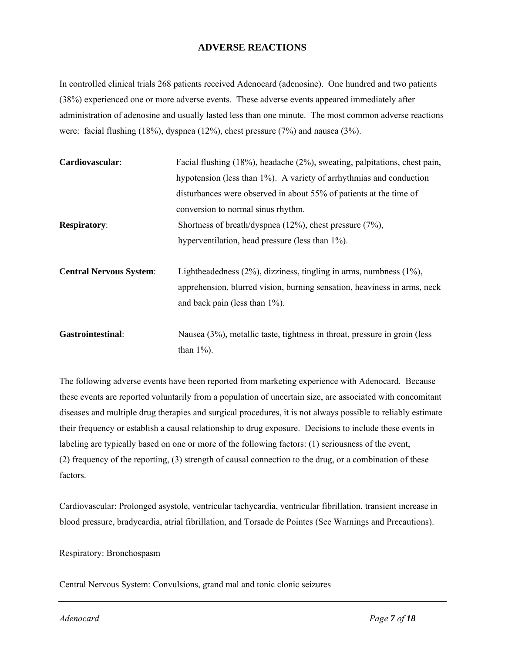# **ADVERSE REACTIONS**

In controlled clinical trials 268 patients received Adenocard (adenosine). One hundred and two patients (38%) experienced one or more adverse events. These adverse events appeared immediately after administration of adenosine and usually lasted less than one minute. The most common adverse reactions were: facial flushing (18%), dyspnea (12%), chest pressure (7%) and nausea (3%).

| Cardiovascular:                | Facial flushing (18%), headache (2%), sweating, palpitations, chest pain, |  |  |  |
|--------------------------------|---------------------------------------------------------------------------|--|--|--|
|                                | hypotension (less than 1%). A variety of arrhythmias and conduction       |  |  |  |
|                                | disturbances were observed in about 55% of patients at the time of        |  |  |  |
|                                | conversion to normal sinus rhythm.                                        |  |  |  |
| <b>Respiratory:</b>            | Shortness of breath/dyspnea $(12\%)$ , chest pressure $(7\%)$ ,           |  |  |  |
|                                | hyperventilation, head pressure (less than 1%).                           |  |  |  |
| <b>Central Nervous System:</b> | Lightheadedness $(2\%)$ , dizziness, tingling in arms, numbness $(1\%)$ , |  |  |  |
|                                | apprehension, blurred vision, burning sensation, heaviness in arms, neck  |  |  |  |
|                                | and back pain (less than $1\%$ ).                                         |  |  |  |
| <b>Gastrointestinal:</b>       | Nausea (3%), metallic taste, tightness in throat, pressure in groin (less |  |  |  |
|                                | than $1\%$ ).                                                             |  |  |  |

The following adverse events have been reported from marketing experience with Adenocard. Because these events are reported voluntarily from a population of uncertain size, are associated with concomitant diseases and multiple drug therapies and surgical procedures, it is not always possible to reliably estimate their frequency or establish a causal relationship to drug exposure. Decisions to include these events in labeling are typically based on one or more of the following factors: (1) seriousness of the event, (2) frequency of the reporting, (3) strength of causal connection to the drug, or a combination of these factors.

Cardiovascular: Prolonged asystole, ventricular tachycardia, ventricular fibrillation, transient increase in blood pressure, bradycardia, atrial fibrillation, and Torsade de Pointes (See Warnings and Precautions).

Respiratory: Bronchospasm

Central Nervous System: Convulsions, grand mal and tonic clonic seizures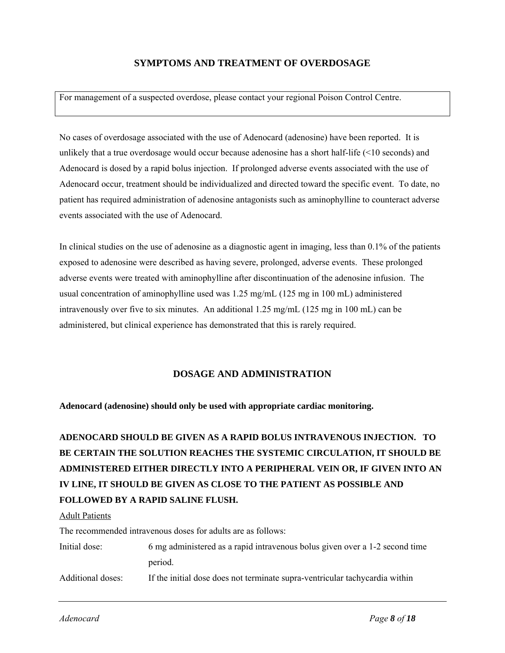# **SYMPTOMS AND TREATMENT OF OVERDOSAGE**

For management of a suspected overdose, please contact your regional Poison Control Centre.

No cases of overdosage associated with the use of Adenocard (adenosine) have been reported. It is unlikely that a true overdosage would occur because adenosine has a short half-life (<10 seconds) and Adenocard is dosed by a rapid bolus injection. If prolonged adverse events associated with the use of Adenocard occur, treatment should be individualized and directed toward the specific event. To date, no patient has required administration of adenosine antagonists such as aminophylline to counteract adverse events associated with the use of Adenocard.

In clinical studies on the use of adenosine as a diagnostic agent in imaging, less than 0.1% of the patients exposed to adenosine were described as having severe, prolonged, adverse events. These prolonged adverse events were treated with aminophylline after discontinuation of the adenosine infusion. The usual concentration of aminophylline used was 1.25 mg/mL (125 mg in 100 mL) administered intravenously over five to six minutes. An additional 1.25 mg/mL (125 mg in 100 mL) can be administered, but clinical experience has demonstrated that this is rarely required.

### **DOSAGE AND ADMINISTRATION**

**Adenocard (adenosine) should only be used with appropriate cardiac monitoring.** 

# **ADENOCARD SHOULD BE GIVEN AS A RAPID BOLUS INTRAVENOUS INJECTION. TO BE CERTAIN THE SOLUTION REACHES THE SYSTEMIC CIRCULATION, IT SHOULD BE ADMINISTERED EITHER DIRECTLY INTO A PERIPHERAL VEIN OR, IF GIVEN INTO AN IV LINE, IT SHOULD BE GIVEN AS CLOSE TO THE PATIENT AS POSSIBLE AND FOLLOWED BY A RAPID SALINE FLUSH.**

#### Adult Patients

The recommended intravenous doses for adults are as follows:

| Initial dose:     | 6 mg administered as a rapid intravenous bolus given over a 1-2 second time |  |  |
|-------------------|-----------------------------------------------------------------------------|--|--|
|                   | period.                                                                     |  |  |
| Additional doses: | If the initial dose does not terminate supra-ventricular tachycardia within |  |  |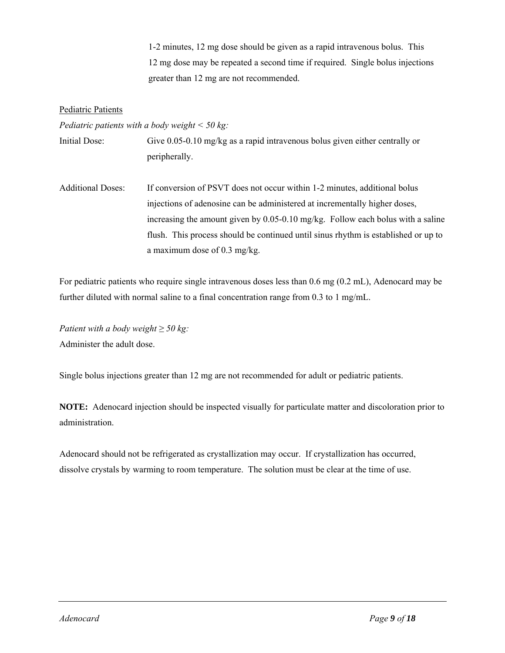1-2 minutes, 12 mg dose should be given as a rapid intravenous bolus. This 12 mg dose may be repeated a second time if required. Single bolus injections greater than 12 mg are not recommended.

#### Pediatric Patients

*Pediatric patients with a body weight < 50 kg:*

Initial Dose: Give 0.05-0.10 mg/kg as a rapid intravenous bolus given either centrally or peripherally.

Additional Doses: If conversion of PSVT does not occur within 1-2 minutes, additional bolus injections of adenosine can be administered at incrementally higher doses, increasing the amount given by 0.05-0.10 mg/kg. Follow each bolus with a saline flush. This process should be continued until sinus rhythm is established or up to a maximum dose of 0.3 mg/kg.

For pediatric patients who require single intravenous doses less than 0.6 mg (0.2 mL), Adenocard may be further diluted with normal saline to a final concentration range from 0.3 to 1 mg/mL.

*Patient with a body weight*  $\geq$  50 kg: Administer the adult dose.

Single bolus injections greater than 12 mg are not recommended for adult or pediatric patients.

**NOTE:** Adenocard injection should be inspected visually for particulate matter and discoloration prior to administration.

Adenocard should not be refrigerated as crystallization may occur. If crystallization has occurred, dissolve crystals by warming to room temperature. The solution must be clear at the time of use.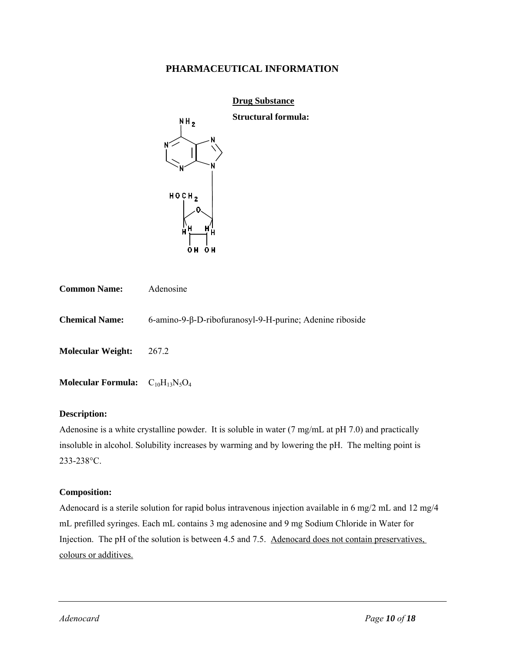## **PHARMACEUTICAL INFORMATION**

|                           | <b>Drug Substance</b>                                           |  |  |  |  |
|---------------------------|-----------------------------------------------------------------|--|--|--|--|
|                           | <b>Structural formula:</b><br>NH <sub>2</sub>                   |  |  |  |  |
|                           | N۲<br>N                                                         |  |  |  |  |
|                           | H O CH <sub>2</sub><br>Η<br>н<br>Ĥ<br>Н<br>0 <sub>H</sub><br>0H |  |  |  |  |
| <b>Common Name:</b>       | Adenosine                                                       |  |  |  |  |
| <b>Chemical Name:</b>     | 6-amino-9-β-D-ribofuranosyl-9-H-purine; Adenine riboside        |  |  |  |  |
| <b>Molecular Weight:</b>  | 267.2                                                           |  |  |  |  |
| <b>Molecular Formula:</b> | $C_{10}H_{13}N_5O_4$                                            |  |  |  |  |

#### **Description:**

Adenosine is a white crystalline powder. It is soluble in water (7 mg/mL at pH 7.0) and practically insoluble in alcohol. Solubility increases by warming and by lowering the pH. The melting point is 233-238°C.

#### **Composition:**

Adenocard is a sterile solution for rapid bolus intravenous injection available in 6 mg/2 mL and 12 mg/4 mL prefilled syringes. Each mL contains 3 mg adenosine and 9 mg Sodium Chloride in Water for Injection. The pH of the solution is between 4.5 and 7.5. Adenocard does not contain preservatives, colours or additives.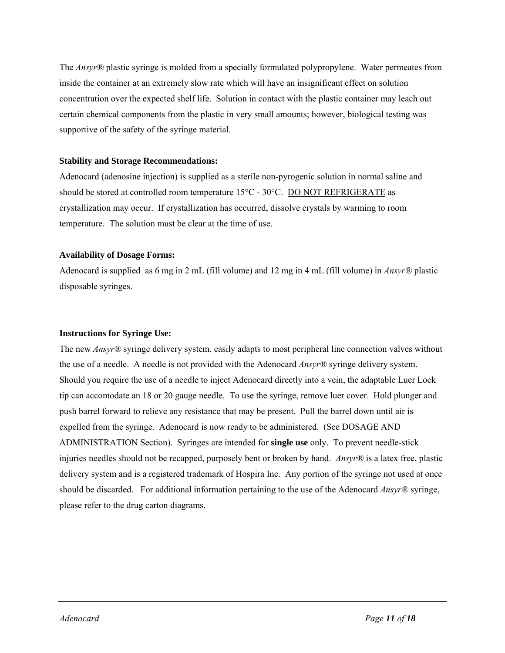The *Ansyr®* plastic syringe is molded from a specially formulated polypropylene. Water permeates from inside the container at an extremely slow rate which will have an insignificant effect on solution concentration over the expected shelf life. Solution in contact with the plastic container may leach out certain chemical components from the plastic in very small amounts; however, biological testing was supportive of the safety of the syringe material.

#### **Stability and Storage Recommendations:**

Adenocard (adenosine injection) is supplied as a sterile non-pyrogenic solution in normal saline and should be stored at controlled room temperature 15°C - 30°C. DO NOT REFRIGERATE as crystallization may occur. If crystallization has occurred, dissolve crystals by warming to room temperature. The solution must be clear at the time of use.

### **Availability of Dosage Forms:**

Adenocard is supplied as 6 mg in 2 mL (fill volume) and 12 mg in 4 mL (fill volume) in *Ansyr®* plastic disposable syringes.

### **Instructions for Syringe Use:**

The new *Ansyr®* syringe delivery system, easily adapts to most peripheral line connection valves without the use of a needle. A needle is not provided with the Adenocard *Ansyr®* syringe delivery system. Should you require the use of a needle to inject Adenocard directly into a vein, the adaptable Luer Lock tip can accomodate an 18 or 20 gauge needle. To use the syringe, remove luer cover. Hold plunger and push barrel forward to relieve any resistance that may be present. Pull the barrel down until air is expelled from the syringe. Adenocard is now ready to be administered. (See DOSAGE AND ADMINISTRATION Section). Syringes are intended for **single use** only. To prevent needle-stick injuries needles should not be recapped, purposely bent or broken by hand. *Ansyr®* is a latex free, plastic delivery system and is a registered trademark of Hospira Inc. Any portion of the syringe not used at once should be discarded. For additional information pertaining to the use of the Adenocard *Ansyr®* syringe, please refer to the drug carton diagrams.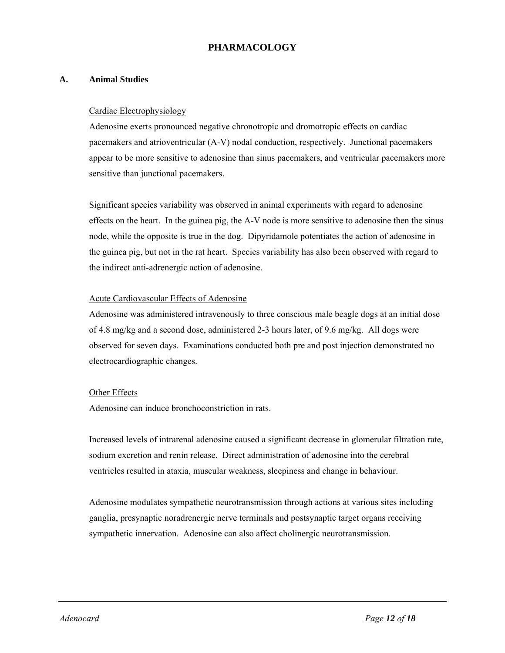# **PHARMACOLOGY**

### **A. Animal Studies**

#### Cardiac Electrophysiology

Adenosine exerts pronounced negative chronotropic and dromotropic effects on cardiac pacemakers and atrioventricular (A-V) nodal conduction, respectively. Junctional pacemakers appear to be more sensitive to adenosine than sinus pacemakers, and ventricular pacemakers more sensitive than junctional pacemakers.

Significant species variability was observed in animal experiments with regard to adenosine effects on the heart. In the guinea pig, the A-V node is more sensitive to adenosine then the sinus node, while the opposite is true in the dog. Dipyridamole potentiates the action of adenosine in the guinea pig, but not in the rat heart. Species variability has also been observed with regard to the indirect anti-adrenergic action of adenosine.

### Acute Cardiovascular Effects of Adenosine

Adenosine was administered intravenously to three conscious male beagle dogs at an initial dose of 4.8 mg/kg and a second dose, administered 2-3 hours later, of 9.6 mg/kg. All dogs were observed for seven days. Examinations conducted both pre and post injection demonstrated no electrocardiographic changes.

#### Other Effects

Adenosine can induce bronchoconstriction in rats.

Increased levels of intrarenal adenosine caused a significant decrease in glomerular filtration rate, sodium excretion and renin release. Direct administration of adenosine into the cerebral ventricles resulted in ataxia, muscular weakness, sleepiness and change in behaviour.

Adenosine modulates sympathetic neurotransmission through actions at various sites including ganglia, presynaptic noradrenergic nerve terminals and postsynaptic target organs receiving sympathetic innervation. Adenosine can also affect cholinergic neurotransmission.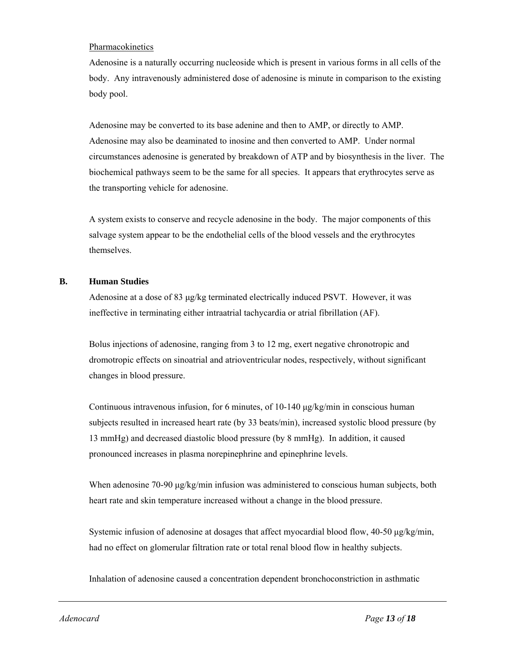#### Pharmacokinetics

Adenosine is a naturally occurring nucleoside which is present in various forms in all cells of the body. Any intravenously administered dose of adenosine is minute in comparison to the existing body pool.

Adenosine may be converted to its base adenine and then to AMP, or directly to AMP. Adenosine may also be deaminated to inosine and then converted to AMP. Under normal circumstances adenosine is generated by breakdown of ATP and by biosynthesis in the liver. The biochemical pathways seem to be the same for all species. It appears that erythrocytes serve as the transporting vehicle for adenosine.

A system exists to conserve and recycle adenosine in the body. The major components of this salvage system appear to be the endothelial cells of the blood vessels and the erythrocytes themselves.

#### **B. Human Studies**

Adenosine at a dose of 83 μg/kg terminated electrically induced PSVT. However, it was ineffective in terminating either intraatrial tachycardia or atrial fibrillation (AF).

Bolus injections of adenosine, ranging from 3 to 12 mg, exert negative chronotropic and dromotropic effects on sinoatrial and atrioventricular nodes, respectively, without significant changes in blood pressure.

Continuous intravenous infusion, for 6 minutes, of 10-140 μg/kg/min in conscious human subjects resulted in increased heart rate (by 33 beats/min), increased systolic blood pressure (by 13 mmHg) and decreased diastolic blood pressure (by 8 mmHg). In addition, it caused pronounced increases in plasma norepinephrine and epinephrine levels.

When adenosine 70-90 μg/kg/min infusion was administered to conscious human subjects, both heart rate and skin temperature increased without a change in the blood pressure.

Systemic infusion of adenosine at dosages that affect myocardial blood flow, 40-50 μg/kg/min, had no effect on glomerular filtration rate or total renal blood flow in healthy subjects.

Inhalation of adenosine caused a concentration dependent bronchoconstriction in asthmatic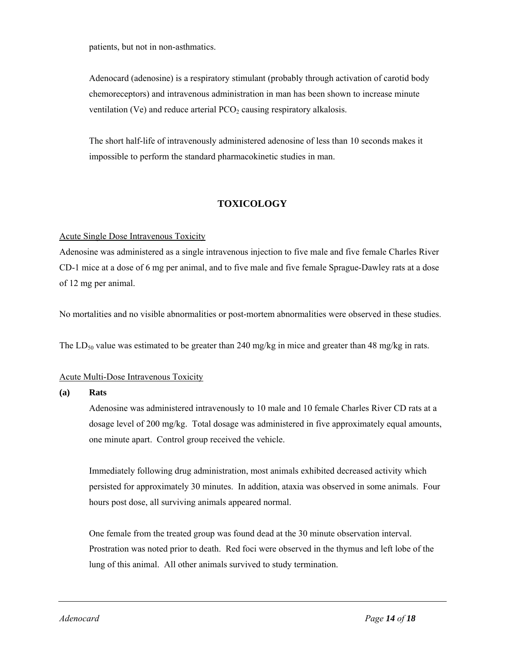patients, but not in non-asthmatics.

Adenocard (adenosine) is a respiratory stimulant (probably through activation of carotid body chemoreceptors) and intravenous administration in man has been shown to increase minute ventilation (Ve) and reduce arterial  $PCO<sub>2</sub>$  causing respiratory alkalosis.

The short half-life of intravenously administered adenosine of less than 10 seconds makes it impossible to perform the standard pharmacokinetic studies in man.

# **TOXICOLOGY**

### Acute Single Dose Intravenous Toxicity

Adenosine was administered as a single intravenous injection to five male and five female Charles River CD-1 mice at a dose of 6 mg per animal, and to five male and five female Sprague-Dawley rats at a dose of 12 mg per animal.

No mortalities and no visible abnormalities or post-mortem abnormalities were observed in these studies.

The LD<sub>50</sub> value was estimated to be greater than 240 mg/kg in mice and greater than 48 mg/kg in rats.

#### Acute Multi-Dose Intravenous Toxicity

#### **(a) Rats**

Adenosine was administered intravenously to 10 male and 10 female Charles River CD rats at a dosage level of 200 mg/kg. Total dosage was administered in five approximately equal amounts, one minute apart. Control group received the vehicle.

Immediately following drug administration, most animals exhibited decreased activity which persisted for approximately 30 minutes. In addition, ataxia was observed in some animals. Four hours post dose, all surviving animals appeared normal.

One female from the treated group was found dead at the 30 minute observation interval. Prostration was noted prior to death. Red foci were observed in the thymus and left lobe of the lung of this animal. All other animals survived to study termination.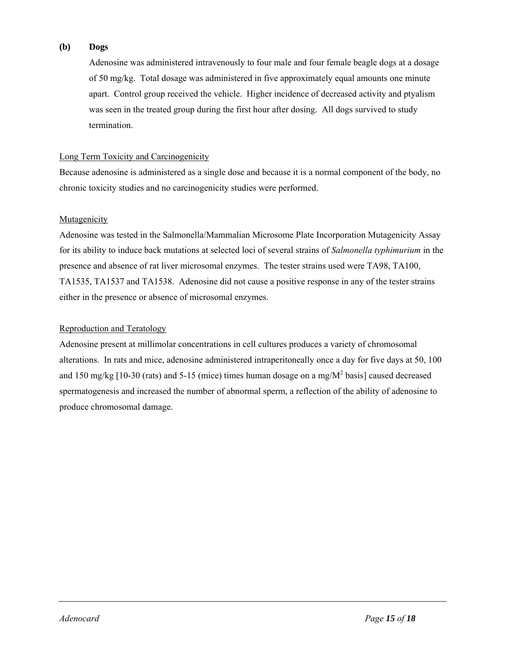### **(b) Dogs**

Adenosine was administered intravenously to four male and four female beagle dogs at a dosage of 50 mg/kg. Total dosage was administered in five approximately equal amounts one minute apart. Control group received the vehicle. Higher incidence of decreased activity and ptyalism was seen in the treated group during the first hour after dosing. All dogs survived to study termination.

### Long Term Toxicity and Carcinogenicity

Because adenosine is administered as a single dose and because it is a normal component of the body, no chronic toxicity studies and no carcinogenicity studies were performed.

### Mutagenicity

Adenosine was tested in the Salmonella/Mammalian Microsome Plate Incorporation Mutagenicity Assay for its ability to induce back mutations at selected loci of several strains of *Salmonella typhimurium* in the presence and absence of rat liver microsomal enzymes. The tester strains used were TA98, TA100, TA1535, TA1537 and TA1538. Adenosine did not cause a positive response in any of the tester strains either in the presence or absence of microsomal enzymes.

### Reproduction and Teratology

Adenosine present at millimolar concentrations in cell cultures produces a variety of chromosomal alterations. In rats and mice, adenosine administered intraperitoneally once a day for five days at 50, 100 and 150 mg/kg [10-30 (rats) and 5-15 (mice) times human dosage on a mg/ $M^2$  basis] caused decreased spermatogenesis and increased the number of abnormal sperm, a reflection of the ability of adenosine to produce chromosomal damage.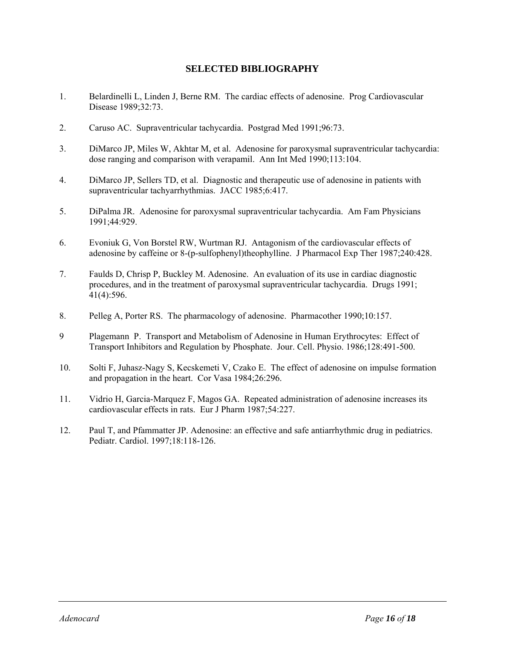# **SELECTED BIBLIOGRAPHY**

- 1. Belardinelli L, Linden J, Berne RM. The cardiac effects of adenosine. Prog Cardiovascular Disease 1989;32:73.
- 2. Caruso AC. Supraventricular tachycardia. Postgrad Med 1991;96:73.
- 3. DiMarco JP, Miles W, Akhtar M, et al. Adenosine for paroxysmal supraventricular tachycardia: dose ranging and comparison with verapamil. Ann Int Med 1990;113:104.
- 4. DiMarco JP, Sellers TD, et al. Diagnostic and therapeutic use of adenosine in patients with supraventricular tachyarrhythmias. JACC 1985;6:417.
- 5. DiPalma JR. Adenosine for paroxysmal supraventricular tachycardia. Am Fam Physicians 1991;44:929.
- 6. Evoniuk G, Von Borstel RW, Wurtman RJ. Antagonism of the cardiovascular effects of adenosine by caffeine or 8-(p-sulfophenyl)theophylline. J Pharmacol Exp Ther 1987;240:428.
- 7. Faulds D, Chrisp P, Buckley M. Adenosine. An evaluation of its use in cardiac diagnostic procedures, and in the treatment of paroxysmal supraventricular tachycardia. Drugs 1991; 41(4):596.
- 8. Pelleg A, Porter RS. The pharmacology of adenosine. Pharmacother 1990;10:157.
- 9 Plagemann P. Transport and Metabolism of Adenosine in Human Erythrocytes: Effect of Transport Inhibitors and Regulation by Phosphate. Jour. Cell. Physio. 1986;128:491-500.
- 10. Solti F, Juhasz-Nagy S, Kecskemeti V, Czako E. The effect of adenosine on impulse formation and propagation in the heart. Cor Vasa 1984;26:296.
- 11. Vidrio H, Garcia-Marquez F, Magos GA. Repeated administration of adenosine increases its cardiovascular effects in rats. Eur J Pharm 1987;54:227.
- 12. Paul T, and Pfammatter JP. Adenosine: an effective and safe antiarrhythmic drug in pediatrics. Pediatr. Cardiol. 1997;18:118-126.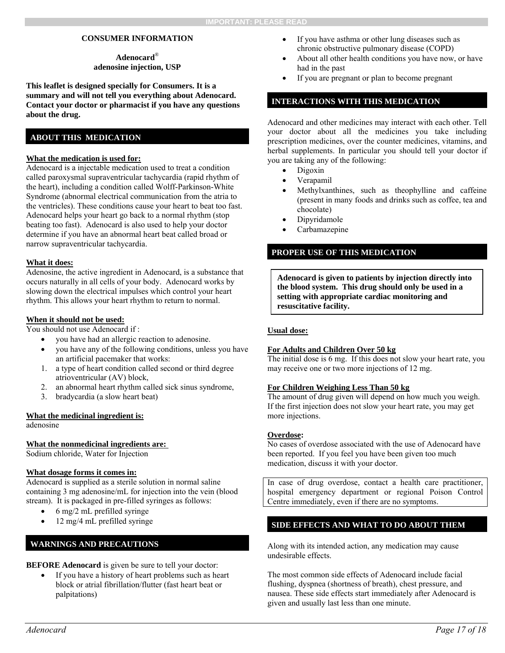#### **CONSUMER INFORMATION**

#### **Adenocard**® **adenosine injection, USP**

**This leaflet is designed specially for Consumers. It is a summary and will not tell you everything about Adenocard. Contact your doctor or pharmacist if you have any questions about the drug.** 

## **ABOUT THIS MEDICATION**

#### **What the medication is used for:**

Adenocard is a injectable medication used to treat a condition called paroxysmal supraventricular tachycardia (rapid rhythm of the heart), including a condition called Wolff-Parkinson-White Syndrome (abnormal electrical communication from the atria to the ventricles). These conditions cause your heart to beat too fast. Adenocard helps your heart go back to a normal rhythm (stop beating too fast). Adenocard is also used to help your doctor determine if you have an abnormal heart beat called broad or narrow supraventricular tachycardia.

#### **What it does:**

Adenosine, the active ingredient in Adenocard, is a substance that occurs naturally in all cells of your body. Adenocard works by slowing down the electrical impulses which control your heart rhythm. This allows your heart rhythm to return to normal.

#### **When it should not be used:**

You should not use Adenocard if :

- you have had an allergic reaction to adenosine.
- you have any of the following conditions, unless you have an artificial pacemaker that works:
- 1. a type of heart condition called second or third degree atrioventricular (AV) block,
- 2. an abnormal heart rhythm called sick sinus syndrome,
- 3. bradycardia (a slow heart beat)

#### **What the medicinal ingredient is:**

adenosine

#### **What the nonmedicinal ingredients are:**

Sodium chloride, Water for Injection

#### **What dosage forms it comes in:**

Adenocard is supplied as a sterile solution in normal saline containing 3 mg adenosine/mL for injection into the vein (blood stream). It is packaged in pre-filled syringes as follows:

- $\bullet$  6 mg/2 mL prefilled syringe
- 12 mg/4 mL prefilled syringe

### **WARNINGS AND PRECAUTIONS**

### **BEFORE Adenocard** is given be sure to tell your doctor:

 If you have a history of heart problems such as heart block or atrial fibrillation/flutter (fast heart beat or palpitations)

- If you have asthma or other lung diseases such as chronic obstructive pulmonary disease (COPD)
- About all other health conditions you have now, or have had in the past
- If you are pregnant or plan to become pregnant

## **INTERACTIONS WITH THIS MEDICATION**

Adenocard and other medicines may interact with each other. Tell your doctor about all the medicines you take including prescription medicines, over the counter medicines, vitamins, and herbal supplements. In particular you should tell your doctor if you are taking any of the following:

- Digoxin
- Verapamil
- Methylxanthines, such as theophylline and caffeine (present in many foods and drinks such as coffee, tea and chocolate)
- Dipyridamole
- Carbamazepine

#### **PROPER USE OF THIS MEDICATION**

**Adenocard is given to patients by injection directly into the blood system. This drug should only be used in a setting with appropriate cardiac monitoring and resuscitative facility.** 

#### **Usual dose:**

#### **For Adults and Children Over 50 kg**

The initial dose is 6 mg. If this does not slow your heart rate, you may receive one or two more injections of 12 mg.

#### **For Children Weighing Less Than 50 kg**

The amount of drug given will depend on how much you weigh. If the first injection does not slow your heart rate, you may get more injections.

#### **Overdose:**

No cases of overdose associated with the use of Adenocard have been reported. If you feel you have been given too much medication, discuss it with your doctor.

In case of drug overdose, contact a health care practitioner, hospital emergency department or regional Poison Control Centre immediately, even if there are no symptoms.

#### **SIDE EFFECTS AND WHAT TO DO ABOUT THEM**

Along with its intended action, any medication may cause undesirable effects.

The most common side effects of Adenocard include facial flushing, dyspnea (shortness of breath), chest pressure, and nausea. These side effects start immediately after Adenocard is given and usually last less than one minute.